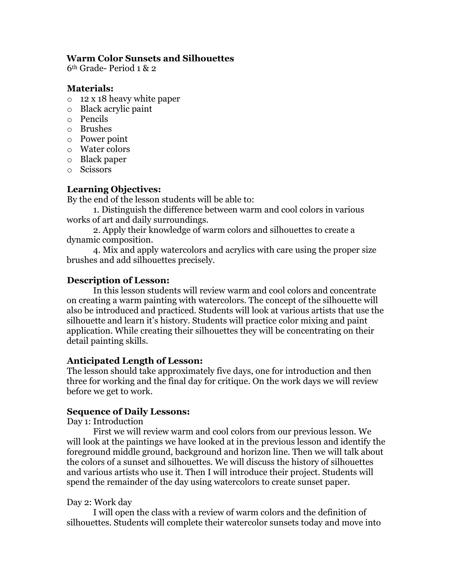#### **Warm Color Sunsets and Silhouettes**

6th Grade- Period 1 & 2

#### **Materials:**

- o 12 x 18 heavy white paper
- o Black acrylic paint
- o Pencils
- o Brushes
- o Power point
- o Water colors
- o Black paper
- o Scissors

## **Learning Objectives:**

By the end of the lesson students will be able to:

1. Distinguish the difference between warm and cool colors in various works of art and daily surroundings.

2. Apply their knowledge of warm colors and silhouettes to create a dynamic composition.

4. Mix and apply watercolors and acrylics with care using the proper size brushes and add silhouettes precisely.

## **Description of Lesson:**

In this lesson students will review warm and cool colors and concentrate on creating a warm painting with watercolors. The concept of the silhouette will also be introduced and practiced. Students will look at various artists that use the silhouette and learn it's history. Students will practice color mixing and paint application. While creating their silhouettes they will be concentrating on their detail painting skills.

#### **Anticipated Length of Lesson:**

The lesson should take approximately five days, one for introduction and then three for working and the final day for critique. On the work days we will review before we get to work.

#### **Sequence of Daily Lessons:**

Day 1: Introduction

First we will review warm and cool colors from our previous lesson. We will look at the paintings we have looked at in the previous lesson and identify the foreground middle ground, background and horizon line. Then we will talk about the colors of a sunset and silhouettes. We will discuss the history of silhouettes and various artists who use it. Then I will introduce their project. Students will spend the remainder of the day using watercolors to create sunset paper.

#### Day 2: Work day

I will open the class with a review of warm colors and the definition of silhouettes. Students will complete their watercolor sunsets today and move into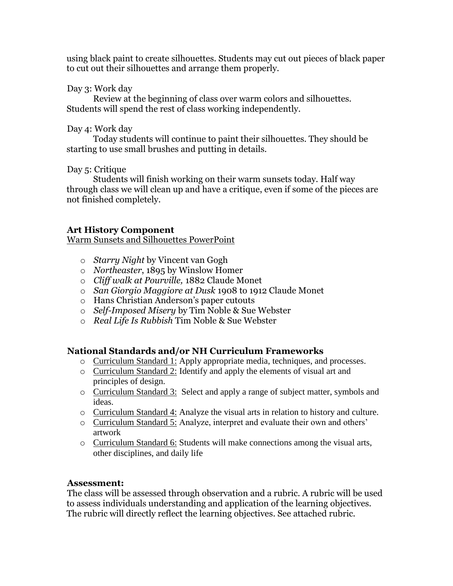using black paint to create silhouettes. Students may cut out pieces of black paper to cut out their silhouettes and arrange them properly.

#### Day 3: Work day

Review at the beginning of class over warm colors and silhouettes. Students will spend the rest of class working independently.

#### Day 4: Work day

Today students will continue to paint their silhouettes. They should be starting to use small brushes and putting in details.

Day 5: Critique

Students will finish working on their warm sunsets today. Half way through class we will clean up and have a critique, even if some of the pieces are not finished completely.

## **Art History Component**

Warm Sunsets and Silhouettes PowerPoint

- o *Starry Night* by Vincent van Gogh
- o *Northeaster*, 1895 by Winslow Homer
- o *Cliff walk at Pourville,* 1882 Claude Monet
- o *San Giorgio Maggiore at Dusk* 1908 to 1912 Claude Monet
- o Hans Christian Anderson's paper cutouts
- o *Self-Imposed Misery* by Tim Noble & Sue Webster
- o *Real Life Is Rubbish* Tim Noble & Sue Webster

#### **National Standards and/or NH Curriculum Frameworks**

- o Curriculum Standard 1: Apply appropriate media, techniques, and processes.
- o Curriculum Standard 2: Identify and apply the elements of visual art and principles of design.
- o Curriculum Standard 3: Select and apply a range of subject matter, symbols and ideas.
- o Curriculum Standard 4: Analyze the visual arts in relation to history and culture.
- o Curriculum Standard 5: Analyze, interpret and evaluate their own and others' artwork
- o Curriculum Standard 6: Students will make connections among the visual arts, other disciplines, and daily life

#### **Assessment:**

The class will be assessed through observation and a rubric. A rubric will be used to assess individuals understanding and application of the learning objectives. The rubric will directly reflect the learning objectives. See attached rubric.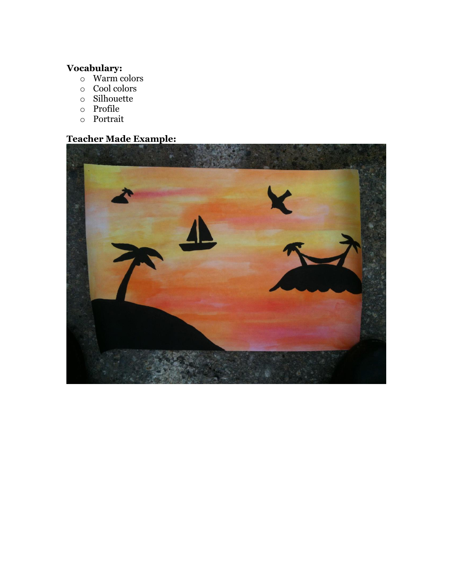#### **Vocabulary:**

- o Warm colors
- o Cool colors
- o Silhouette
- o Profile
- o Portrait

## **Teacher Made Example:**

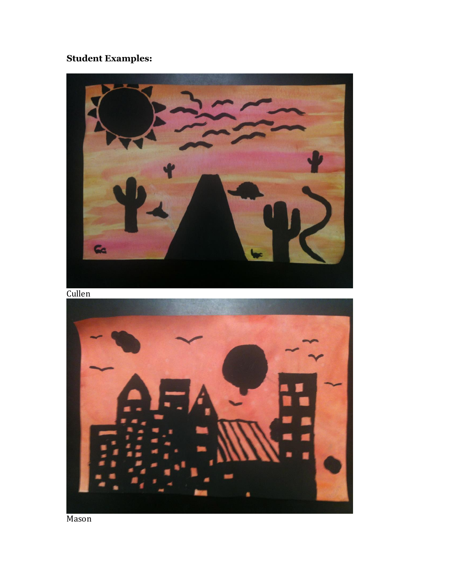# **Student Examples:**



Mason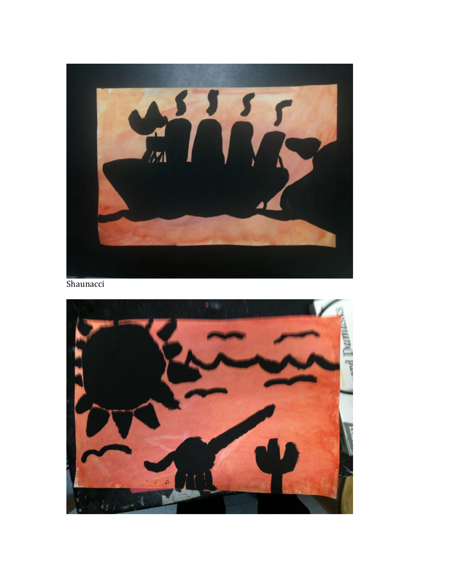

Shaunacci